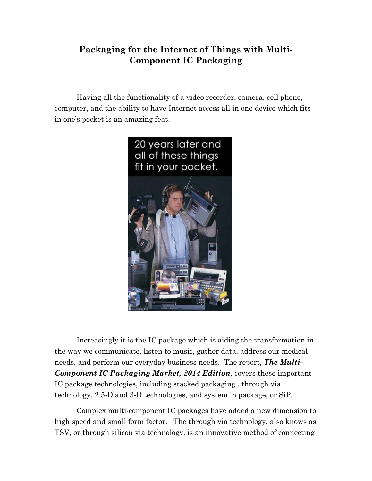## **Packaging for the Internet of Things with Multi-Component IC Packaging**

Having all the functionality of a video recorder, camera, cell phone, computer, and the ability to have Internet access all in one device which fits in one's pocket is an amazing feat.



Increasingly it is the IC package which is aiding the transformation in the way we communicate, listen to music, gather data, address our medical needs, and perform our everyday business needs. The report, *The Multi-Component IC Packaging Market, 2014 Edition*, covers these important IC package technologies, including stacked packaging , through via technology, 2.5-D and 3-D technologies, and system in package, or SiP.

Complex multi-component IC packages have added a new dimension to high speed and small form factor. The through via technology, also knows as TSV, or through silicon via technology, is an innovative method of connecting